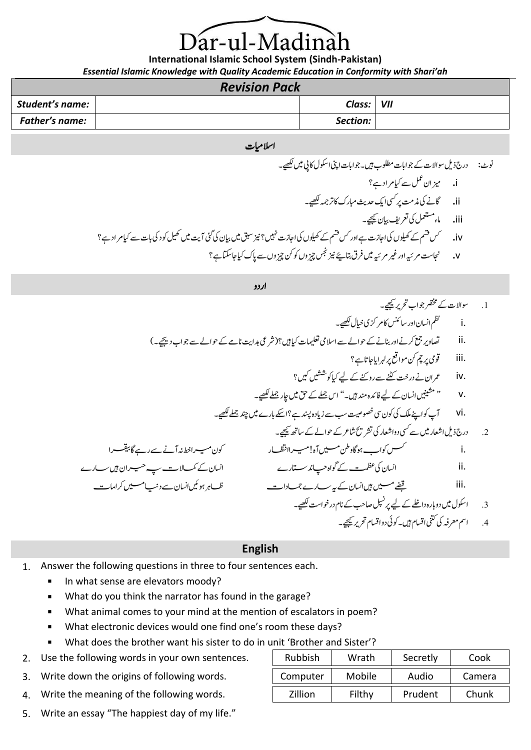# ar-ul-Madinà

**International Islamic School System (Sindh-Pakistan)**

*Essential Islamic Knowledge with Quality Academic Education in Conformity with Shari'ah*

| <b>Revision Pack</b>  |  |              |  |  |
|-----------------------|--|--------------|--|--|
| Student's name:       |  | Class:   VII |  |  |
| <b>Father's name:</b> |  | Section:     |  |  |

#### اسلامیات

ونٹ: درج ذلی وساالت ےک وجاابت ولطمب ںیہ۔وجاابت اینپ اوکسل اکیپ ںیم ےیھکل۔ i**.** زیما ن لمع ےس ایک رماد ےہ؟ ii**.** اگےن یک ذمتم رپ یسک اکی دحثی ابمرک اک رتہمج ےیھکل۔ iii**.** امء لمعتسم یک رعتفی ایبن ےیجیک۔ iv**.** سک مسق ےک ولیھکں یک ااجزت ےہ اور سک مسق ےکولیھکں یک ااجزت ںیہن؟ زین قبس ںیم ایبن یک یئگ آتی ںیم لیھک وکد یک ابت ےس ایک رماد ےہ؟ v**.** اجنتس رمہیئ اور ریغ رمہیئ ںیم رفق اتبےیئ زین سجن زیچوں وک نک زیچوں ےس اپک ایک اجاتکس ےہ؟

اردو

1. عوالات کی خقرج وب تخ ریر تھی کامر کزی نیال کھی۔  
\nii  
\nii  
\nii  
\n3. i  
\niii  
\niv  
\n10. 
$$
{}^{7}C_{10}
$$
 نیو رہ تھی میکر ہریاچاتا ہع؟  
\n11.  ${}^{8}C_{20}$  نیو رہریت کنٹے ہرودیت کے جااسای تھیلے کا ہیو تھیں پیں ہیا رھیا کھیے۔  
\n14.  ${}^{9}C_{30}$  نیو رہریت کنی میو میت سبے نیادہ پند ہے؟ ایک باریھا گھی۔  
\n14.  ${}^{9}C_{30}$  نیو رہنیر پری میل کریان کے لیے فاکرہ مندہیں۔ " ایزدہ پند بے کے لکھے۔  
\n2.  ${}^{9}C_{20}$  نیو شاھر ش ے کی دو!خیارک تفر تئاعرک عزھ میںت ہا۔ وکو میل کے کے ہیں تھیا ہیں سرانویات تے سے میںالن ہیں سر  
\n3.  ${}^{10}C_{30}$  نیدی میں ہیں انیان کی مظہیت ے گوادچیاند ستارے  
\n4.  ${}^{10}C_{30}$  نیو شویادونخیا کے لیے پر نیل مناحیں کیانیان سے کے دامد سے ہیں انے دن سیا محرا میں دو ہیںانیات ہی سے سرکریا سا  
\n3.  ${}^{10}C_{30}$  نیدی اوتیا میں دو باردونظے کے لیے پر نیل مات سیے جیہرات سے ہے۔ سر ممرز کی تی میں تھیں۔  
\n3.  ${}^{10}C_{30}$  نیری میریم کی میں ہیں انیان سے کے کوادے سے ہیں اور میں تھیں ہیں تھیں میں کریں میں کریا میں تھی میں تھیں میں تھیں ت

### **English**

- 1. Answer the following questions in three to four sentences each.
	- In what sense are elevators moody?
	- **What do you think the narrator has found in the garage?**
	- What animal comes to your mind at the mention of escalators in poem?
	- What electronic devices would one find one's room these days?
	- What does the brother want his sister to do in unit 'Brother and Sister'?
- 2. Use the following words in your own sentences.
- 3. Write down the origins of following words.
- 4. Write the meaning of the following words.
- 5. Write an essay "The happiest day of my life."

| <b>Rubbish</b> | Wrath         | Secretly | Cook   |
|----------------|---------------|----------|--------|
| Computer       | <b>Mobile</b> | Audio    | Camera |
| Zillion        | Filthy        | Prudent  | Chunk  |